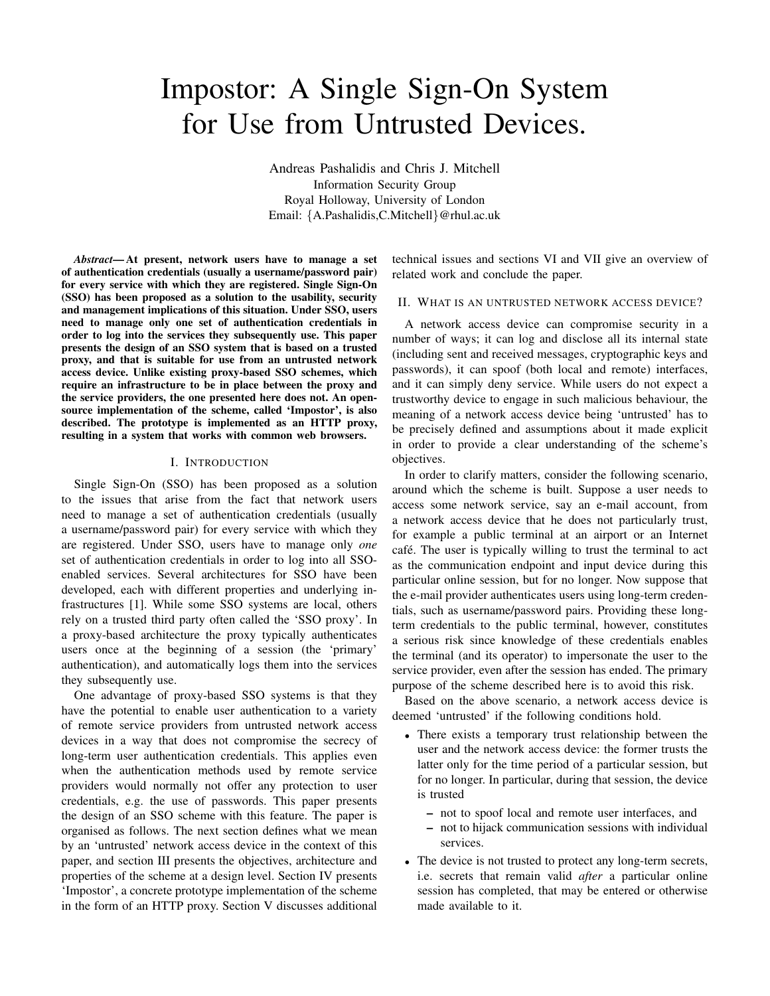# Impostor: A Single Sign-On System for Use from Untrusted Devices.

Andreas Pashalidis and Chris J. Mitchell Information Security Group Royal Holloway, University of London Email: *{*A.Pashalidis,C.Mitchell*}*@rhul.ac.uk

*Abstract***— At present, network users have to manage a set of authentication credentials (usually a username/password pair) for every service with which they are registered. Single Sign-On (SSO) has been proposed as a solution to the usability, security and management implications of this situation. Under SSO, users need to manage only one set of authentication credentials in order to log into the services they subsequently use. This paper presents the design of an SSO system that is based on a trusted proxy, and that is suitable for use from an untrusted network access device. Unlike existing proxy-based SSO schemes, which require an infrastructure to be in place between the proxy and the service providers, the one presented here does not. An opensource implementation of the scheme, called 'Impostor', is also described. The prototype is implemented as an HTTP proxy, resulting in a system that works with common web browsers.**

### I. INTRODUCTION

Single Sign-On (SSO) has been proposed as a solution to the issues that arise from the fact that network users need to manage a set of authentication credentials (usually a username/password pair) for every service with which they are registered. Under SSO, users have to manage only *one* set of authentication credentials in order to log into all SSOenabled services. Several architectures for SSO have been developed, each with different properties and underlying infrastructures [1]. While some SSO systems are local, others rely on a trusted third party often called the 'SSO proxy'. In a proxy-based architecture the proxy typically authenticates users once at the beginning of a session (the 'primary' authentication), and automatically logs them into the services they subsequently use.

One advantage of proxy-based SSO systems is that they have the potential to enable user authentication to a variety of remote service providers from untrusted network access devices in a way that does not compromise the secrecy of long-term user authentication credentials. This applies even when the authentication methods used by remote service providers would normally not offer any protection to user credentials, e.g. the use of passwords. This paper presents the design of an SSO scheme with this feature. The paper is organised as follows. The next section defines what we mean by an 'untrusted' network access device in the context of this paper, and section III presents the objectives, architecture and properties of the scheme at a design level. Section IV presents 'Impostor', a concrete prototype implementation of the scheme in the form of an HTTP proxy. Section V discusses additional

technical issues and sections VI and VII give an overview of related work and conclude the paper.

#### II. WHAT IS AN UNTRUSTED NETWORK ACCESS DEVICE?

A network access device can compromise security in a number of ways; it can log and disclose all its internal state (including sent and received messages, cryptographic keys and passwords), it can spoof (both local and remote) interfaces, and it can simply deny service. While users do not expect a trustworthy device to engage in such malicious behaviour, the meaning of a network access device being 'untrusted' has to be precisely defined and assumptions about it made explicit in order to provide a clear understanding of the scheme's objectives.

In order to clarify matters, consider the following scenario, around which the scheme is built. Suppose a user needs to access some network service, say an e-mail account, from a network access device that he does not particularly trust, for example a public terminal at an airport or an Internet café. The user is typically willing to trust the terminal to act as the communication endpoint and input device during this particular online session, but for no longer. Now suppose that the e-mail provider authenticates users using long-term credentials, such as username/password pairs. Providing these longterm credentials to the public terminal, however, constitutes a serious risk since knowledge of these credentials enables the terminal (and its operator) to impersonate the user to the service provider, even after the session has ended. The primary purpose of the scheme described here is to avoid this risk.

Based on the above scenario, a network access device is deemed 'untrusted' if the following conditions hold.

- *•* There exists a temporary trust relationship between the user and the network access device: the former trusts the latter only for the time period of a particular session, but for no longer. In particular, during that session, the device is trusted
	- **–** not to spoof local and remote user interfaces, and
	- **–** not to hijack communication sessions with individual services.
- The device is not trusted to protect any long-term secrets, i.e. secrets that remain valid *after* a particular online session has completed, that may be entered or otherwise made available to it.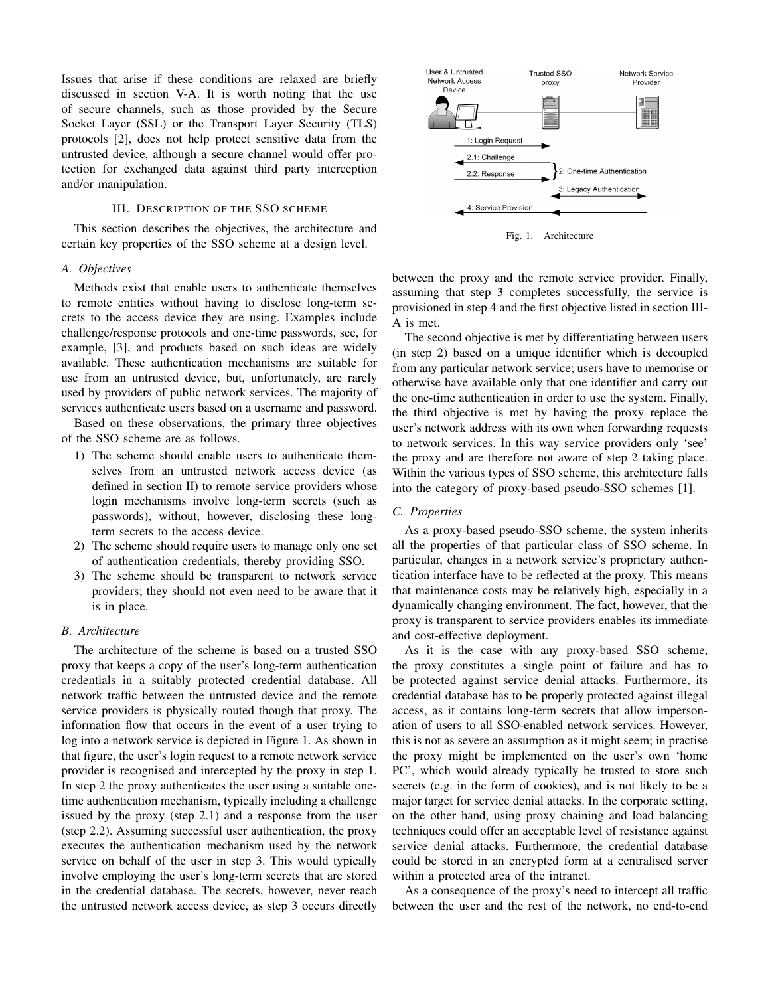Issues that arise if these conditions are relaxed are briefly discussed in section V-A. It is worth noting that the use of secure channels, such as those provided by the Secure Socket Layer (SSL) or the Transport Layer Security (TLS) protocols [2], does not help protect sensitive data from the untrusted device, although a secure channel would offer protection for exchanged data against third party interception and/or manipulation.

# III. DESCRIPTION OF THE SSO SCHEME

This section describes the objectives, the architecture and certain key properties of the SSO scheme at a design level.

#### *A. Objectives*

Methods exist that enable users to authenticate themselves to remote entities without having to disclose long-term secrets to the access device they are using. Examples include challenge/response protocols and one-time passwords, see, for example, [3], and products based on such ideas are widely available. These authentication mechanisms are suitable for use from an untrusted device, but, unfortunately, are rarely used by providers of public network services. The majority of services authenticate users based on a username and password.

Based on these observations, the primary three objectives of the SSO scheme are as follows.

- 1) The scheme should enable users to authenticate themselves from an untrusted network access device (as defined in section II) to remote service providers whose login mechanisms involve long-term secrets (such as passwords), without, however, disclosing these longterm secrets to the access device.
- 2) The scheme should require users to manage only one set of authentication credentials, thereby providing SSO.
- 3) The scheme should be transparent to network service providers; they should not even need to be aware that it is in place.

# *B. Architecture*

The architecture of the scheme is based on a trusted SSO proxy that keeps a copy of the user's long-term authentication credentials in a suitably protected credential database. All network traffic between the untrusted device and the remote service providers is physically routed though that proxy. The information flow that occurs in the event of a user trying to log into a network service is depicted in Figure 1. As shown in that figure, the user's login request to a remote network service provider is recognised and intercepted by the proxy in step 1. In step 2 the proxy authenticates the user using a suitable onetime authentication mechanism, typically including a challenge issued by the proxy (step 2.1) and a response from the user (step 2.2). Assuming successful user authentication, the proxy executes the authentication mechanism used by the network service on behalf of the user in step 3. This would typically involve employing the user's long-term secrets that are stored in the credential database. The secrets, however, never reach the untrusted network access device, as step 3 occurs directly



Fig. 1. Architecture

between the proxy and the remote service provider. Finally, assuming that step 3 completes successfully, the service is provisioned in step 4 and the first objective listed in section III-A is met.

The second objective is met by differentiating between users (in step 2) based on a unique identifier which is decoupled from any particular network service; users have to memorise or otherwise have available only that one identifier and carry out the one-time authentication in order to use the system. Finally, the third objective is met by having the proxy replace the user's network address with its own when forwarding requests to network services. In this way service providers only 'see' the proxy and are therefore not aware of step 2 taking place. Within the various types of SSO scheme, this architecture falls into the category of proxy-based pseudo-SSO schemes [1].

## *C. Properties*

As a proxy-based pseudo-SSO scheme, the system inherits all the properties of that particular class of SSO scheme. In particular, changes in a network service's proprietary authentication interface have to be reflected at the proxy. This means that maintenance costs may be relatively high, especially in a dynamically changing environment. The fact, however, that the proxy is transparent to service providers enables its immediate and cost-effective deployment.

As it is the case with any proxy-based SSO scheme, the proxy constitutes a single point of failure and has to be protected against service denial attacks. Furthermore, its credential database has to be properly protected against illegal access, as it contains long-term secrets that allow impersonation of users to all SSO-enabled network services. However, this is not as severe an assumption as it might seem; in practise the proxy might be implemented on the user's own 'home PC', which would already typically be trusted to store such secrets (e.g. in the form of cookies), and is not likely to be a major target for service denial attacks. In the corporate setting, on the other hand, using proxy chaining and load balancing techniques could offer an acceptable level of resistance against service denial attacks. Furthermore, the credential database could be stored in an encrypted form at a centralised server within a protected area of the intranet.

As a consequence of the proxy's need to intercept all traffic between the user and the rest of the network, no end-to-end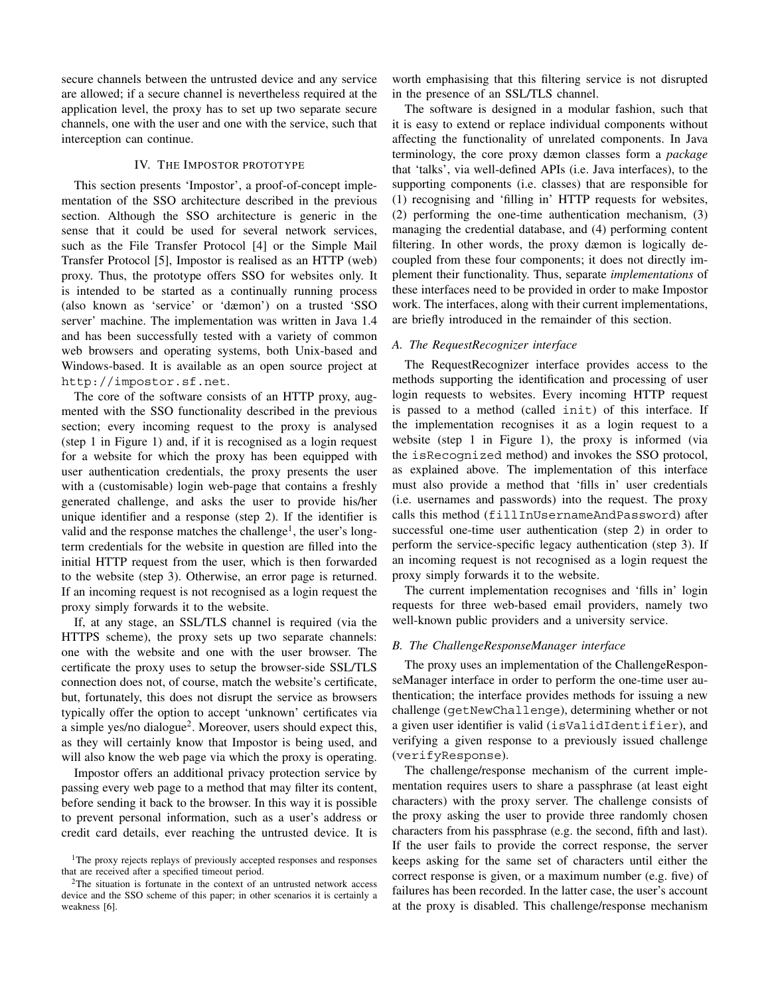secure channels between the untrusted device and any service are allowed; if a secure channel is nevertheless required at the application level, the proxy has to set up two separate secure channels, one with the user and one with the service, such that interception can continue.

#### IV. THE IMPOSTOR PROTOTYPE

This section presents 'Impostor', a proof-of-concept implementation of the SSO architecture described in the previous section. Although the SSO architecture is generic in the sense that it could be used for several network services, such as the File Transfer Protocol [4] or the Simple Mail Transfer Protocol [5], Impostor is realised as an HTTP (web) proxy. Thus, the prototype offers SSO for websites only. It is intended to be started as a continually running process (also known as 'service' or 'dæmon') on a trusted 'SSO server' machine. The implementation was written in Java 1.4 and has been successfully tested with a variety of common web browsers and operating systems, both Unix-based and Windows-based. It is available as an open source project at http://impostor.sf.net.

The core of the software consists of an HTTP proxy, augmented with the SSO functionality described in the previous section; every incoming request to the proxy is analysed (step 1 in Figure 1) and, if it is recognised as a login request for a website for which the proxy has been equipped with user authentication credentials, the proxy presents the user with a (customisable) login web-page that contains a freshly generated challenge, and asks the user to provide his/her unique identifier and a response (step 2). If the identifier is valid and the response matches the challenge<sup>1</sup>, the user's longterm credentials for the website in question are filled into the initial HTTP request from the user, which is then forwarded to the website (step 3). Otherwise, an error page is returned. If an incoming request is not recognised as a login request the proxy simply forwards it to the website.

If, at any stage, an SSL/TLS channel is required (via the HTTPS scheme), the proxy sets up two separate channels: one with the website and one with the user browser. The certificate the proxy uses to setup the browser-side SSL/TLS connection does not, of course, match the website's certificate, but, fortunately, this does not disrupt the service as browsers typically offer the option to accept 'unknown' certificates via a simple yes/no dialogue<sup>2</sup>. Moreover, users should expect this, as they will certainly know that Impostor is being used, and will also know the web page via which the proxy is operating.

Impostor offers an additional privacy protection service by passing every web page to a method that may filter its content, before sending it back to the browser. In this way it is possible to prevent personal information, such as a user's address or credit card details, ever reaching the untrusted device. It is

worth emphasising that this filtering service is not disrupted in the presence of an SSL/TLS channel.

The software is designed in a modular fashion, such that it is easy to extend or replace individual components without affecting the functionality of unrelated components. In Java terminology, the core proxy dæmon classes form a *package* that 'talks', via well-defined APIs (i.e. Java interfaces), to the supporting components (i.e. classes) that are responsible for (1) recognising and 'filling in' HTTP requests for websites, (2) performing the one-time authentication mechanism, (3) managing the credential database, and (4) performing content filtering. In other words, the proxy dæmon is logically decoupled from these four components; it does not directly implement their functionality. Thus, separate *implementations* of these interfaces need to be provided in order to make Impostor work. The interfaces, along with their current implementations, are briefly introduced in the remainder of this section.

# *A. The RequestRecognizer interface*

The RequestRecognizer interface provides access to the methods supporting the identification and processing of user login requests to websites. Every incoming HTTP request is passed to a method (called init) of this interface. If the implementation recognises it as a login request to a website (step 1 in Figure 1), the proxy is informed (via the isRecognized method) and invokes the SSO protocol, as explained above. The implementation of this interface must also provide a method that 'fills in' user credentials (i.e. usernames and passwords) into the request. The proxy calls this method (fillInUsernameAndPassword) after successful one-time user authentication (step 2) in order to perform the service-specific legacy authentication (step 3). If an incoming request is not recognised as a login request the proxy simply forwards it to the website.

The current implementation recognises and 'fills in' login requests for three web-based email providers, namely two well-known public providers and a university service.

# *B. The ChallengeResponseManager interface*

The proxy uses an implementation of the ChallengeResponseManager interface in order to perform the one-time user authentication; the interface provides methods for issuing a new challenge (getNewChallenge), determining whether or not a given user identifier is valid (isValidIdentifier), and verifying a given response to a previously issued challenge (verifyResponse).

The challenge/response mechanism of the current implementation requires users to share a passphrase (at least eight characters) with the proxy server. The challenge consists of the proxy asking the user to provide three randomly chosen characters from his passphrase (e.g. the second, fifth and last). If the user fails to provide the correct response, the server keeps asking for the same set of characters until either the correct response is given, or a maximum number (e.g. five) of failures has been recorded. In the latter case, the user's account at the proxy is disabled. This challenge/response mechanism

<sup>&</sup>lt;sup>1</sup>The proxy rejects replays of previously accepted responses and responses that are received after a specified timeout period.

 $2$ The situation is fortunate in the context of an untrusted network access device and the SSO scheme of this paper; in other scenarios it is certainly a weakness [6].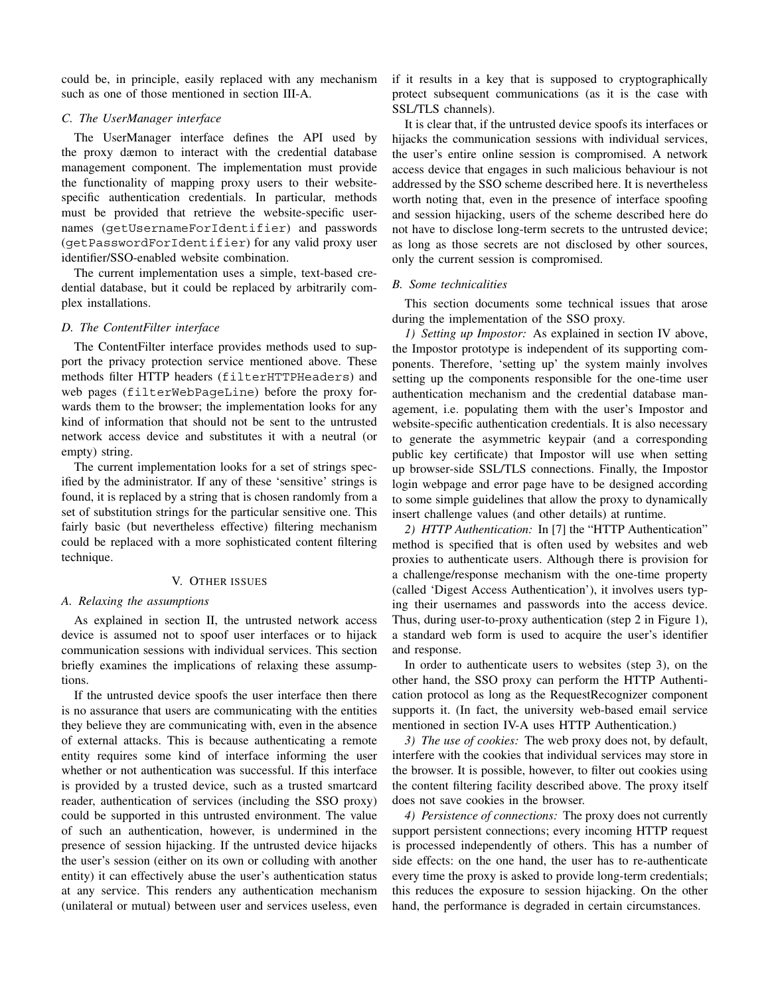could be, in principle, easily replaced with any mechanism such as one of those mentioned in section III-A.

#### *C. The UserManager interface*

The UserManager interface defines the API used by the proxy dæmon to interact with the credential database management component. The implementation must provide the functionality of mapping proxy users to their websitespecific authentication credentials. In particular, methods must be provided that retrieve the website-specific usernames (getUsernameForIdentifier) and passwords (getPasswordForIdentifier) for any valid proxy user identifier/SSO-enabled website combination.

The current implementation uses a simple, text-based credential database, but it could be replaced by arbitrarily complex installations.

# *D. The ContentFilter interface*

The ContentFilter interface provides methods used to support the privacy protection service mentioned above. These methods filter HTTP headers (filterHTTPHeaders) and web pages (filterWebPageLine) before the proxy forwards them to the browser; the implementation looks for any kind of information that should not be sent to the untrusted network access device and substitutes it with a neutral (or empty) string.

The current implementation looks for a set of strings specified by the administrator. If any of these 'sensitive' strings is found, it is replaced by a string that is chosen randomly from a set of substitution strings for the particular sensitive one. This fairly basic (but nevertheless effective) filtering mechanism could be replaced with a more sophisticated content filtering technique.

# V. OTHER ISSUES

### *A. Relaxing the assumptions*

As explained in section II, the untrusted network access device is assumed not to spoof user interfaces or to hijack communication sessions with individual services. This section briefly examines the implications of relaxing these assumptions.

If the untrusted device spoofs the user interface then there is no assurance that users are communicating with the entities they believe they are communicating with, even in the absence of external attacks. This is because authenticating a remote entity requires some kind of interface informing the user whether or not authentication was successful. If this interface is provided by a trusted device, such as a trusted smartcard reader, authentication of services (including the SSO proxy) could be supported in this untrusted environment. The value of such an authentication, however, is undermined in the presence of session hijacking. If the untrusted device hijacks the user's session (either on its own or colluding with another entity) it can effectively abuse the user's authentication status at any service. This renders any authentication mechanism (unilateral or mutual) between user and services useless, even if it results in a key that is supposed to cryptographically protect subsequent communications (as it is the case with SSL/TLS channels).

It is clear that, if the untrusted device spoofs its interfaces or hijacks the communication sessions with individual services, the user's entire online session is compromised. A network access device that engages in such malicious behaviour is not addressed by the SSO scheme described here. It is nevertheless worth noting that, even in the presence of interface spoofing and session hijacking, users of the scheme described here do not have to disclose long-term secrets to the untrusted device; as long as those secrets are not disclosed by other sources, only the current session is compromised.

#### *B. Some technicalities*

This section documents some technical issues that arose during the implementation of the SSO proxy.

*1) Setting up Impostor:* As explained in section IV above, the Impostor prototype is independent of its supporting components. Therefore, 'setting up' the system mainly involves setting up the components responsible for the one-time user authentication mechanism and the credential database management, i.e. populating them with the user's Impostor and website-specific authentication credentials. It is also necessary to generate the asymmetric keypair (and a corresponding public key certificate) that Impostor will use when setting up browser-side SSL/TLS connections. Finally, the Impostor login webpage and error page have to be designed according to some simple guidelines that allow the proxy to dynamically insert challenge values (and other details) at runtime.

*2) HTTP Authentication:* In [7] the "HTTP Authentication" method is specified that is often used by websites and web proxies to authenticate users. Although there is provision for a challenge/response mechanism with the one-time property (called 'Digest Access Authentication'), it involves users typing their usernames and passwords into the access device. Thus, during user-to-proxy authentication (step 2 in Figure 1), a standard web form is used to acquire the user's identifier and response.

In order to authenticate users to websites (step 3), on the other hand, the SSO proxy can perform the HTTP Authentication protocol as long as the RequestRecognizer component supports it. (In fact, the university web-based email service mentioned in section IV-A uses HTTP Authentication.)

*3) The use of cookies:* The web proxy does not, by default, interfere with the cookies that individual services may store in the browser. It is possible, however, to filter out cookies using the content filtering facility described above. The proxy itself does not save cookies in the browser.

*4) Persistence of connections:* The proxy does not currently support persistent connections; every incoming HTTP request is processed independently of others. This has a number of side effects: on the one hand, the user has to re-authenticate every time the proxy is asked to provide long-term credentials; this reduces the exposure to session hijacking. On the other hand, the performance is degraded in certain circumstances.